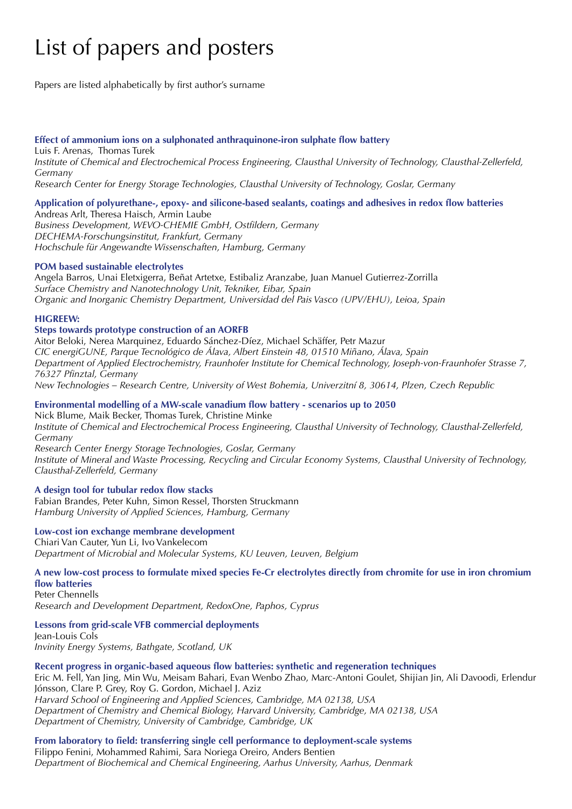# List of papers and posters

Papers are listed alphabetically by first author's surname

#### **Effect of ammonium ions on a sulphonated anthraquinone-iron sulphate flow battery**

Luis F. Arenas, Thomas Turek *Institute of Chemical and Electrochemical Process Engineering, Clausthal University of Technology, Clausthal-Zellerfeld, Germany*

*Research Center for Energy Storage Technologies, Clausthal University of Technology, Goslar, Germany*

## **Application of polyurethane-, epoxy- and silicone-based sealants, coatings and adhesives in redox flow batteries**

Andreas Arlt, Theresa Haisch, Armin Laube *Business Development, WEVO-CHEMIE GmbH, Ostfildern, Germany DECHEMA-Forschungsinstitut, Frankfurt, Germany Hochschule für Angewandte Wissenschaften, Hamburg, Germany*

#### **POM based sustainable electrolytes**

Angela Barros, Unai Eletxigerra, Beñat Artetxe, Estibaliz Aranzabe, Juan Manuel Gutierrez-Zorrilla *Surface Chemistry and Nanotechnology Unit, Tekniker, Eibar, Spain Organic and Inorganic Chemistry Department, Universidad del Pais Vasco (UPV/EHU), Leioa, Spain*

#### **HIGREEW:**

#### **Steps towards prototype construction of an AORFB**

Aitor Beloki, Nerea Marquinez, Eduardo Sánchez-Díez, Michael Schäffer, Petr Mazur *CIC energiGUNE, Parque Tecnológico de Álava, Albert Einstein 48, 01510 Miñano, Álava, Spain Department of Applied Electrochemistry, Fraunhofer Institute for Chemical Technology, Joseph-von-Fraunhofer Strasse 7, 76327 Pfinztal, Germany New Technologies – Research Centre, University of West Bohemia, Univerzitní 8, 30614, Plzen, Czech Republic*

#### **Environmental modelling of a MW-scale vanadium flow battery - scenarios up to 2050**  Nick Blume, Maik Becker, Thomas Turek, Christine Minke

*Institute of Chemical and Electrochemical Process Engineering, Clausthal University of Technology, Clausthal-Zellerfeld, Germany*

*Research Center Energy Storage Technologies, Goslar, Germany Institute of Mineral and Waste Processing, Recycling and Circular Economy Systems, Clausthal University of Technology, Clausthal-Zellerfeld, Germany*

#### **A design tool for tubular redox flow stacks**

Fabian Brandes, Peter Kuhn, Simon Ressel, Thorsten Struckmann *Hamburg University of Applied Sciences, Hamburg, Germany*

### **Low-cost ion exchange membrane development**

Chiari Van Cauter, Yun Li, Ivo Vankelecom *Department of Microbial and Molecular Systems, KU Leuven, Leuven, Belgium*

#### **A new low-cost process to formulate mixed species Fe-Cr electrolytes directly from chromite for use in iron chromium flow batteries**

Peter Chennells *Research and Development Department, RedoxOne, Paphos, Cyprus*

**Lessons from grid-scale VFB commercial deployments**  Jean-Louis Cols *Invinity Energy Systems, Bathgate, Scotland, UK*

#### **Recent progress in organic-based aqueous flow batteries: synthetic and regeneration techniques**

Eric M. Fell, Yan Jing, Min Wu, Meisam Bahari, Evan Wenbo Zhao, Marc-Antoni Goulet, Shijian Jin, Ali Davoodi, Erlendur Jónsson, Clare P. Grey, Roy G. Gordon, Michael J. Aziz *Harvard School of Engineering and Applied Sciences, Cambridge, MA 02138, USA Department of Chemistry and Chemical Biology, Harvard University, Cambridge, MA 02138, USA Department of Chemistry, University of Cambridge, Cambridge, UK*

**From laboratory to field: transferring single cell performance to deployment-scale systems**  Filippo Fenini, Mohammed Rahimi, Sara Noriega Oreiro, Anders Bentien *Department of Biochemical and Chemical Engineering, Aarhus University, Aarhus, Denmark*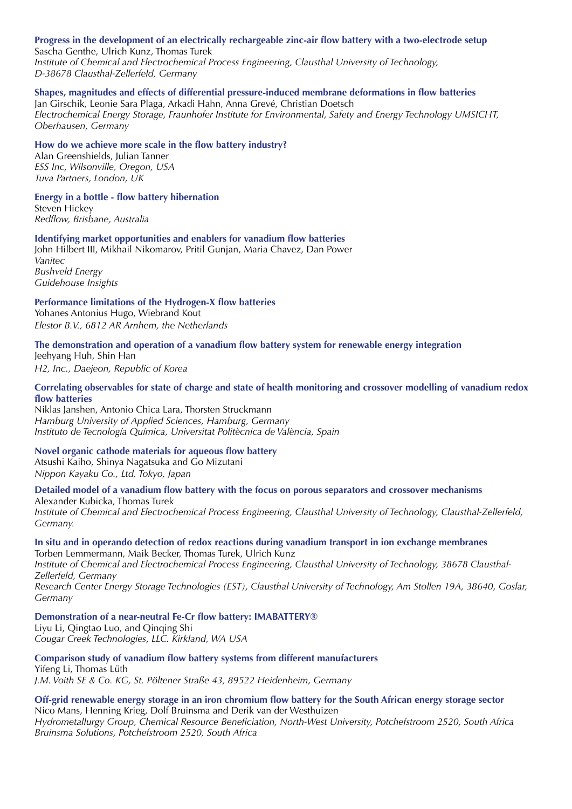## **Progress in the development of an electrically rechargeable zinc-air flow battery with a two-electrode setup**

Sascha Genthe, Ulrich Kunz, Thomas Turek *Institute of Chemical and Electrochemical Process Engineering, Clausthal University of Technology, D-38678 Clausthal-Zellerfeld, Germany*

# **Shapes, magnitudes and effects of differential pressure-induced membrane deformations in flow batteries**

Jan Girschik, Leonie Sara Plaga, Arkadi Hahn, Anna Grevé, Christian Doetsch *Electrochemical Energy Storage, Fraunhofer Institute for Environmental, Safety and Energy Technology UMSICHT, Oberhausen, Germany*

#### **How do we achieve more scale in the flow battery industry?**

Alan Greenshields, Julian Tanner *ESS Inc, Wilsonville, Oregon, USA Tuva Partners, London, UK*

**Energy in a bottle - flow battery hibernation**  Steven Hickey

*Redflow, Brisbane, Australia*

#### **Identifying market opportunities and enablers for vanadium flow batteries**

John Hilbert III, Mikhail Nikomarov, Pritil Gunjan, Maria Chavez, Dan Power *Vanitec Bushveld Energy*

*Guidehouse Insights* **Performance limitations of the Hydrogen-X flow batteries** 

Yohanes Antonius Hugo, Wiebrand Kout *Elestor B.V., 6812 AR Arnhem, the Netherlands*

#### **The demonstration and operation of a vanadium flow battery system for renewable energy integration**

Jeehyang Huh, Shin Han *H2, Inc., Daejeon, Republic of Korea*

#### **Correlating observables for state of charge and state of health monitoring and crossover modelling of vanadium redox flow batteries**

Niklas Janshen, Antonio Chica Lara, Thorsten Struckmann *Hamburg University of Applied Sciences, Hamburg, Germany Instituto de Tecnología Química, Universitat Politècnica de València, Spain*

#### **Novel organic cathode materials for aqueous flow battery**

Atsushi Kaiho, Shinya Nagatsuka and Go Mizutani *Nippon Kayaku Co., Ltd, Tokyo, Japan*

**Detailed model of a vanadium flow battery with the focus on porous separators and crossover mechanisms** 

Alexander Kubicka, Thomas Turek *Institute of Chemical and Electrochemical Process Engineering, Clausthal University of Technology, Clausthal-Zellerfeld, Germany.*

#### **In situ and in operando detection of redox reactions during vanadium transport in ion exchange membranes** Torben Lemmermann, Maik Becker, Thomas Turek, Ulrich Kunz

*Institute of Chemical and Electrochemical Process Engineering, Clausthal University of Technology, 38678 Clausthal-Zellerfeld, Germany*

*Research Center Energy Storage Technologies (EST), Clausthal University of Technology, Am Stollen 19A, 38640, Goslar, Germany*

**Demonstration of a near-neutral Fe-Cr flow battery: IMABATTERY®** 

Liyu Li, Qingtao Luo, and Qinqing Shi *Cougar Creek Technologies, LLC. Kirkland, WA USA*

## **Comparison study of vanadium flow battery systems from different manufacturers**

Yifeng Li, Thomas Lüth *J.M. Voith SE & Co. KG, St. Pöltener Straße 43, 89522 Heidenheim, Germany*

#### **Off-grid renewable energy storage in an iron chromium flow battery for the South African energy storage sector**  Nico Mans, Henning Krieg, Dolf Bruinsma and Derik van der Westhuizen *Hydrometallurgy Group, Chemical Resource Beneficiation, North-West University, Potchefstroom 2520, South Africa Bruinsma Solutions, Potchefstroom 2520, South Africa*